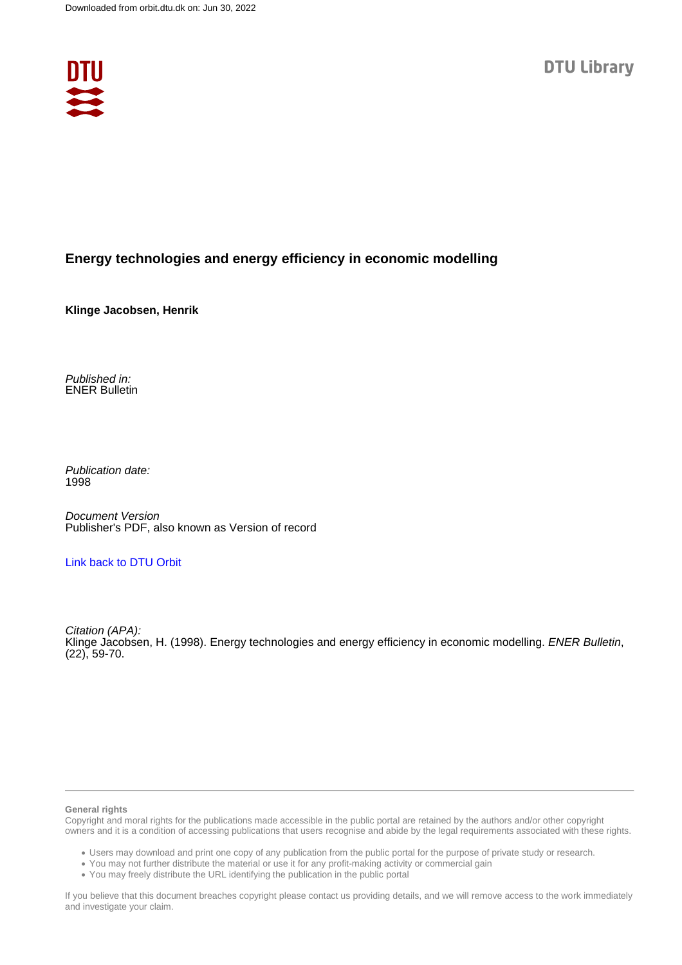

## **Energy technologies and energy efficiency in economic modelling**

**Klinge Jacobsen, Henrik**

Published in: ENER Bulletin

Publication date: 1998

Document Version Publisher's PDF, also known as Version of record

## [Link back to DTU Orbit](https://orbit.dtu.dk/en/publications/7b8c035b-7fa6-4bd6-bc76-380987b897c3)

Citation (APA): Klinge Jacobsen, H. (1998). Energy technologies and energy efficiency in economic modelling. ENER Bulletin, (22), 59-70.

#### **General rights**

Copyright and moral rights for the publications made accessible in the public portal are retained by the authors and/or other copyright owners and it is a condition of accessing publications that users recognise and abide by the legal requirements associated with these rights.

Users may download and print one copy of any publication from the public portal for the purpose of private study or research.

- You may not further distribute the material or use it for any profit-making activity or commercial gain
- You may freely distribute the URL identifying the publication in the public portal

If you believe that this document breaches copyright please contact us providing details, and we will remove access to the work immediately and investigate your claim.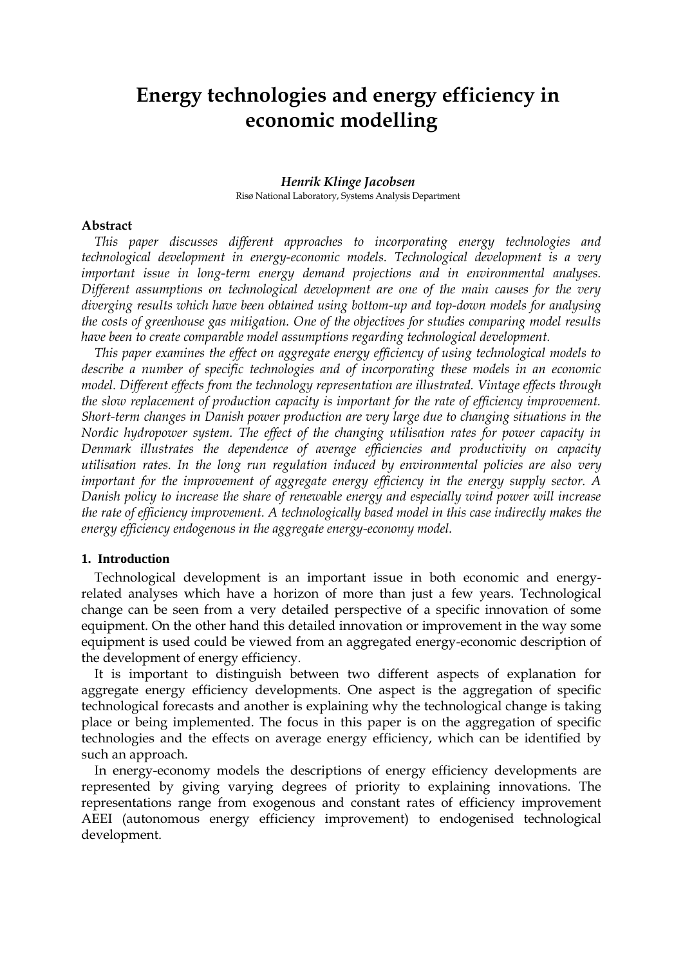# **Energy technologies and energy efficiency in economic modelling**

#### *Henrik Klinge Jacobsen* Risø National Laboratory, Systems Analysis Department

## **Abstract**

*This paper discusses different approaches to incorporating energy technologies and technological development in energy-economic models. Technological development is a very important issue in long-term energy demand projections and in environmental analyses. Different assumptions on technological development are one of the main causes for the very diverging results which have been obtained using bottom-up and top-down models for analysing the costs of greenhouse gas mitigation. One of the objectives for studies comparing model results have been to create comparable model assumptions regarding technological development.* 

*This paper examines the effect on aggregate energy efficiency of using technological models to describe a number of specific technologies and of incorporating these models in an economic model. Different effects from the technology representation are illustrated. Vintage effects through the slow replacement of production capacity is important for the rate of efficiency improvement. Short-term changes in Danish power production are very large due to changing situations in the Nordic hydropower system. The effect of the changing utilisation rates for power capacity in Denmark illustrates the dependence of average efficiencies and productivity on capacity utilisation rates. In the long run regulation induced by environmental policies are also very important for the improvement of aggregate energy efficiency in the energy supply sector. A Danish policy to increase the share of renewable energy and especially wind power will increase the rate of efficiency improvement. A technologically based model in this case indirectly makes the energy efficiency endogenous in the aggregate energy-economy model.*

#### **1. Introduction**

Technological development is an important issue in both economic and energyrelated analyses which have a horizon of more than just a few years. Technological change can be seen from a very detailed perspective of a specific innovation of some equipment. On the other hand this detailed innovation or improvement in the way some equipment is used could be viewed from an aggregated energy-economic description of the development of energy efficiency.

It is important to distinguish between two different aspects of explanation for aggregate energy efficiency developments. One aspect is the aggregation of specific technological forecasts and another is explaining why the technological change is taking place or being implemented. The focus in this paper is on the aggregation of specific technologies and the effects on average energy efficiency, which can be identified by such an approach.

In energy-economy models the descriptions of energy efficiency developments are represented by giving varying degrees of priority to explaining innovations. The representations range from exogenous and constant rates of efficiency improvement AEEI (autonomous energy efficiency improvement) to endogenised technological development.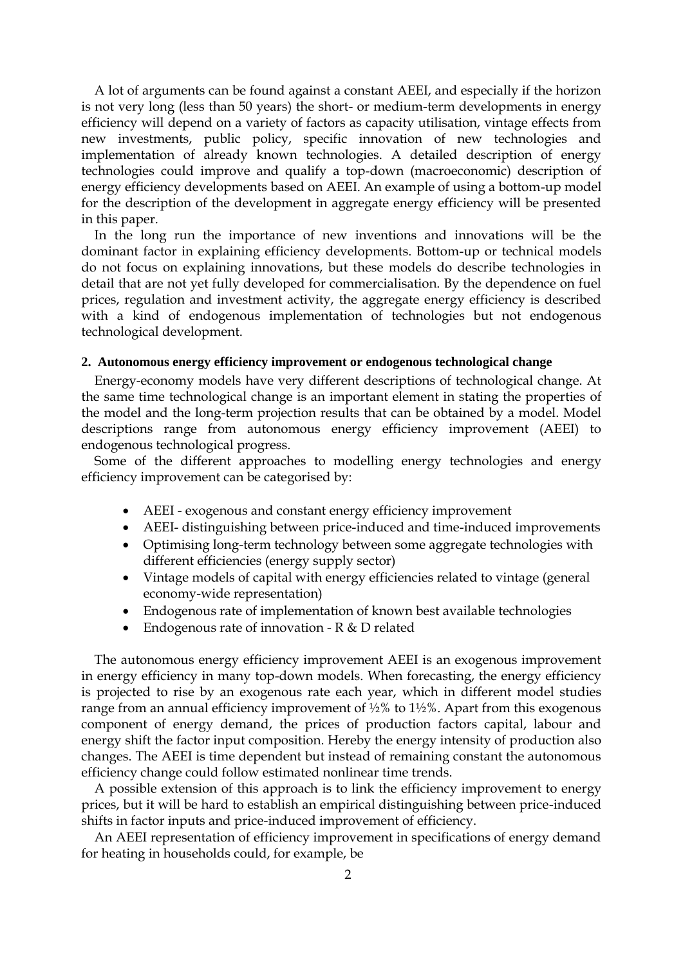A lot of arguments can be found against a constant AEEI, and especially if the horizon is not very long (less than 50 years) the short- or medium-term developments in energy efficiency will depend on a variety of factors as capacity utilisation, vintage effects from new investments, public policy, specific innovation of new technologies and implementation of already known technologies. A detailed description of energy technologies could improve and qualify a top-down (macroeconomic) description of energy efficiency developments based on AEEI. An example of using a bottom-up model for the description of the development in aggregate energy efficiency will be presented in this paper.

In the long run the importance of new inventions and innovations will be the dominant factor in explaining efficiency developments. Bottom-up or technical models do not focus on explaining innovations, but these models do describe technologies in detail that are not yet fully developed for commercialisation. By the dependence on fuel prices, regulation and investment activity, the aggregate energy efficiency is described with a kind of endogenous implementation of technologies but not endogenous technological development.

## **2. Autonomous energy efficiency improvement or endogenous technological change**

Energy-economy models have very different descriptions of technological change. At the same time technological change is an important element in stating the properties of the model and the long-term projection results that can be obtained by a model. Model descriptions range from autonomous energy efficiency improvement (AEEI) to endogenous technological progress.

Some of the different approaches to modelling energy technologies and energy efficiency improvement can be categorised by:

- AEEI exogenous and constant energy efficiency improvement
- AEEI- distinguishing between price-induced and time-induced improvements
- Optimising long-term technology between some aggregate technologies with different efficiencies (energy supply sector)
- Vintage models of capital with energy efficiencies related to vintage (general economy-wide representation)
- Endogenous rate of implementation of known best available technologies
- Endogenous rate of innovation R & D related

The autonomous energy efficiency improvement AEEI is an exogenous improvement in energy efficiency in many top-down models. When forecasting, the energy efficiency is projected to rise by an exogenous rate each year, which in different model studies range from an annual efficiency improvement of  $\frac{1}{2}\%$  to  $\frac{1}{2}\%$ . Apart from this exogenous component of energy demand, the prices of production factors capital, labour and energy shift the factor input composition. Hereby the energy intensity of production also changes. The AEEI is time dependent but instead of remaining constant the autonomous efficiency change could follow estimated nonlinear time trends.

A possible extension of this approach is to link the efficiency improvement to energy prices, but it will be hard to establish an empirical distinguishing between price-induced shifts in factor inputs and price-induced improvement of efficiency.

An AEEI representation of efficiency improvement in specifications of energy demand for heating in households could, for example, be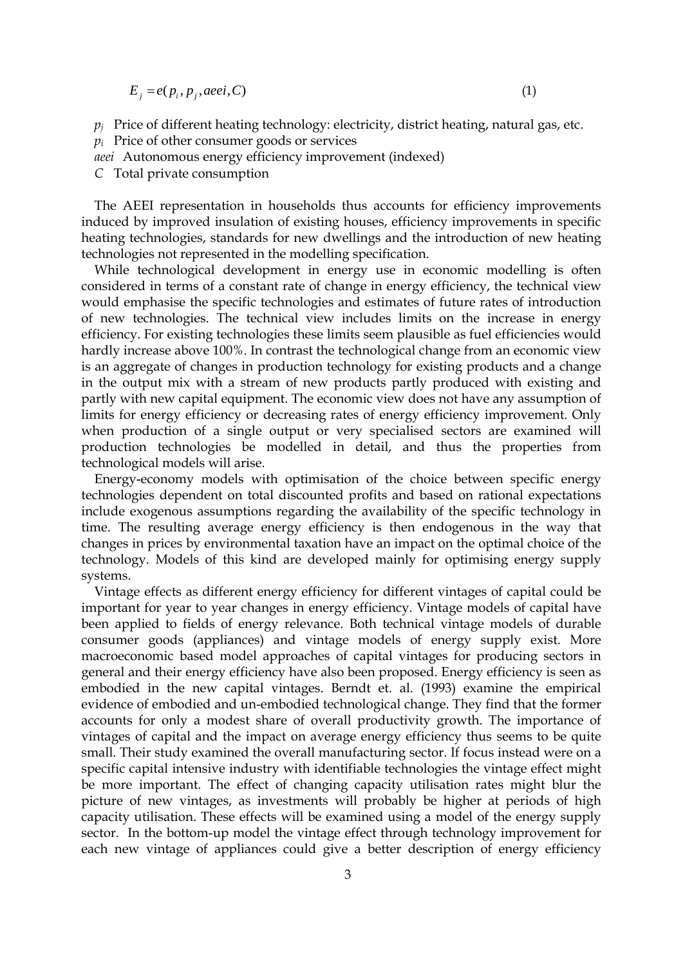$E_j = e(p_i, p_j, aeei, C)$ 

 $p_i$  Price of different heating technology: electricity, district heating, natural gas, etc.

*p<sup>i</sup>* Price of other consumer goods or services

*aeei* Autonomous energy efficiency improvement (indexed)

*C* Total private consumption

The AEEI representation in households thus accounts for efficiency improvements induced by improved insulation of existing houses, efficiency improvements in specific heating technologies, standards for new dwellings and the introduction of new heating technologies not represented in the modelling specification.

While technological development in energy use in economic modelling is often considered in terms of a constant rate of change in energy efficiency, the technical view would emphasise the specific technologies and estimates of future rates of introduction of new technologies. The technical view includes limits on the increase in energy efficiency. For existing technologies these limits seem plausible as fuel efficiencies would hardly increase above 100%. In contrast the technological change from an economic view is an aggregate of changes in production technology for existing products and a change in the output mix with a stream of new products partly produced with existing and partly with new capital equipment. The economic view does not have any assumption of limits for energy efficiency or decreasing rates of energy efficiency improvement. Only when production of a single output or very specialised sectors are examined will production technologies be modelled in detail, and thus the properties from technological models will arise.

Energy-economy models with optimisation of the choice between specific energy technologies dependent on total discounted profits and based on rational expectations include exogenous assumptions regarding the availability of the specific technology in time. The resulting average energy efficiency is then endogenous in the way that changes in prices by environmental taxation have an impact on the optimal choice of the technology. Models of this kind are developed mainly for optimising energy supply systems.

Vintage effects as different energy efficiency for different vintages of capital could be important for year to year changes in energy efficiency. Vintage models of capital have been applied to fields of energy relevance. Both technical vintage models of durable consumer goods (appliances) and vintage models of energy supply exist. More macroeconomic based model approaches of capital vintages for producing sectors in general and their energy efficiency have also been proposed. Energy efficiency is seen as embodied in the new capital vintages. Berndt et. al. (1993) examine the empirical evidence of embodied and un-embodied technological change. They find that the former accounts for only a modest share of overall productivity growth. The importance of vintages of capital and the impact on average energy efficiency thus seems to be quite small. Their study examined the overall manufacturing sector. If focus instead were on a specific capital intensive industry with identifiable technologies the vintage effect might be more important. The effect of changing capacity utilisation rates might blur the picture of new vintages, as investments will probably be higher at periods of high capacity utilisation. These effects will be examined using a model of the energy supply sector. In the bottom-up model the vintage effect through technology improvement for each new vintage of appliances could give a better description of energy efficiency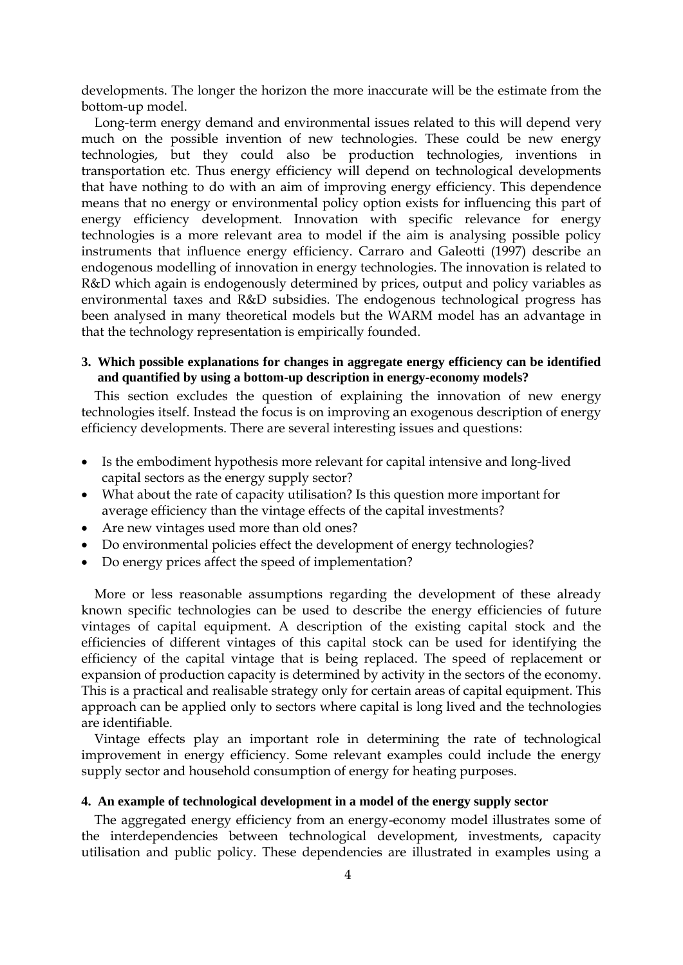developments. The longer the horizon the more inaccurate will be the estimate from the bottom-up model.

Long-term energy demand and environmental issues related to this will depend very much on the possible invention of new technologies. These could be new energy technologies, but they could also be production technologies, inventions in transportation etc. Thus energy efficiency will depend on technological developments that have nothing to do with an aim of improving energy efficiency. This dependence means that no energy or environmental policy option exists for influencing this part of energy efficiency development. Innovation with specific relevance for energy technologies is a more relevant area to model if the aim is analysing possible policy instruments that influence energy efficiency. Carraro and Galeotti (1997) describe an endogenous modelling of innovation in energy technologies. The innovation is related to R&D which again is endogenously determined by prices, output and policy variables as environmental taxes and R&D subsidies. The endogenous technological progress has been analysed in many theoretical models but the WARM model has an advantage in that the technology representation is empirically founded.

## **3. Which possible explanations for changes in aggregate energy efficiency can be identified and quantified by using a bottom-up description in energy-economy models?**

This section excludes the question of explaining the innovation of new energy technologies itself. Instead the focus is on improving an exogenous description of energy efficiency developments. There are several interesting issues and questions:

- Is the embodiment hypothesis more relevant for capital intensive and long-lived capital sectors as the energy supply sector?
- What about the rate of capacity utilisation? Is this question more important for average efficiency than the vintage effects of the capital investments?
- Are new vintages used more than old ones?
- Do environmental policies effect the development of energy technologies?
- Do energy prices affect the speed of implementation?

More or less reasonable assumptions regarding the development of these already known specific technologies can be used to describe the energy efficiencies of future vintages of capital equipment. A description of the existing capital stock and the efficiencies of different vintages of this capital stock can be used for identifying the efficiency of the capital vintage that is being replaced. The speed of replacement or expansion of production capacity is determined by activity in the sectors of the economy. This is a practical and realisable strategy only for certain areas of capital equipment. This approach can be applied only to sectors where capital is long lived and the technologies are identifiable.

Vintage effects play an important role in determining the rate of technological improvement in energy efficiency. Some relevant examples could include the energy supply sector and household consumption of energy for heating purposes.

#### **4. An example of technological development in a model of the energy supply sector**

The aggregated energy efficiency from an energy-economy model illustrates some of the interdependencies between technological development, investments, capacity utilisation and public policy. These dependencies are illustrated in examples using a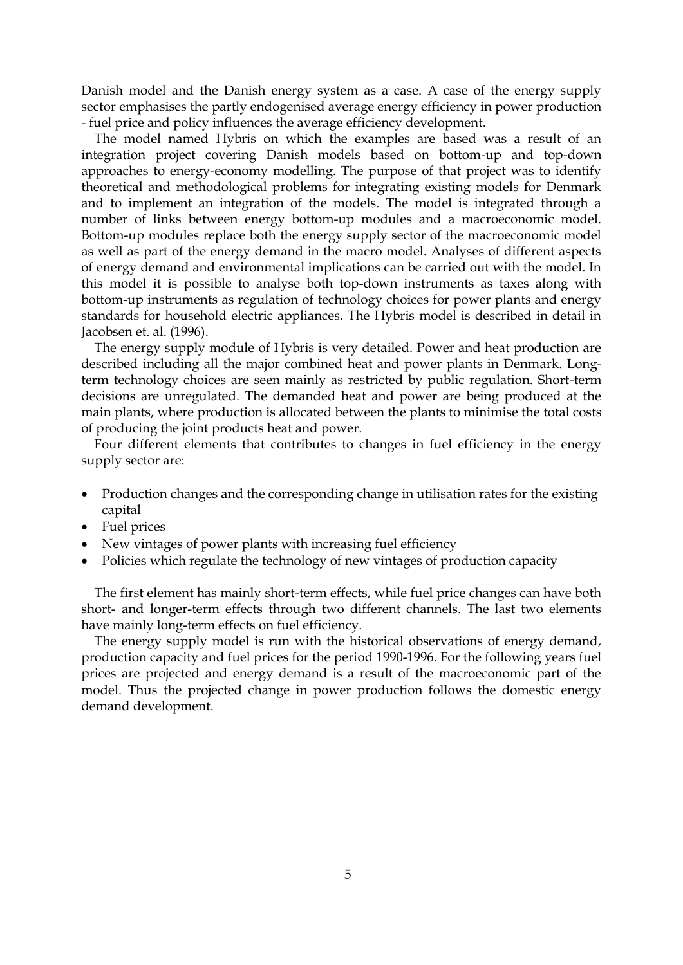Danish model and the Danish energy system as a case. A case of the energy supply sector emphasises the partly endogenised average energy efficiency in power production - fuel price and policy influences the average efficiency development.

The model named Hybris on which the examples are based was a result of an integration project covering Danish models based on bottom-up and top-down approaches to energy-economy modelling. The purpose of that project was to identify theoretical and methodological problems for integrating existing models for Denmark and to implement an integration of the models. The model is integrated through a number of links between energy bottom-up modules and a macroeconomic model. Bottom-up modules replace both the energy supply sector of the macroeconomic model as well as part of the energy demand in the macro model. Analyses of different aspects of energy demand and environmental implications can be carried out with the model. In this model it is possible to analyse both top-down instruments as taxes along with bottom-up instruments as regulation of technology choices for power plants and energy standards for household electric appliances. The Hybris model is described in detail in Jacobsen et. al. (1996).

The energy supply module of Hybris is very detailed. Power and heat production are described including all the major combined heat and power plants in Denmark. Longterm technology choices are seen mainly as restricted by public regulation. Short-term decisions are unregulated. The demanded heat and power are being produced at the main plants, where production is allocated between the plants to minimise the total costs of producing the joint products heat and power.

Four different elements that contributes to changes in fuel efficiency in the energy supply sector are:

- Production changes and the corresponding change in utilisation rates for the existing capital
- Fuel prices
- New vintages of power plants with increasing fuel efficiency
- Policies which regulate the technology of new vintages of production capacity

The first element has mainly short-term effects, while fuel price changes can have both short- and longer-term effects through two different channels. The last two elements have mainly long-term effects on fuel efficiency.

The energy supply model is run with the historical observations of energy demand, production capacity and fuel prices for the period 1990-1996. For the following years fuel prices are projected and energy demand is a result of the macroeconomic part of the model. Thus the projected change in power production follows the domestic energy demand development.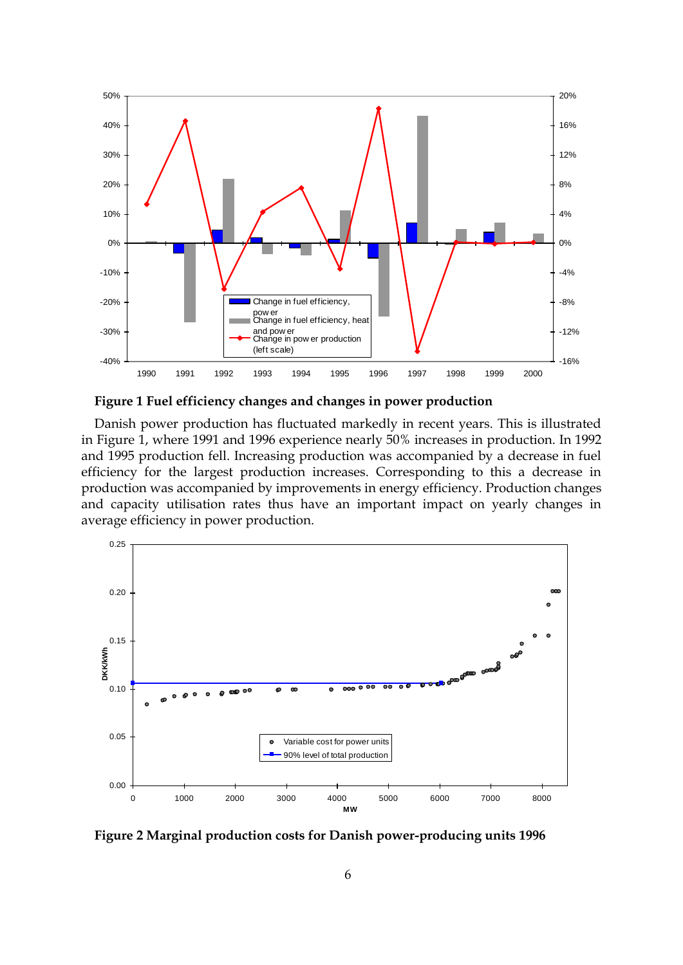

**Figure 1 Fuel efficiency changes and changes in power production** 

Danish power production has fluctuated markedly in recent years. This is illustrated in Figure 1, where 1991 and 1996 experience nearly 50% increases in production. In 1992 and 1995 production fell. Increasing production was accompanied by a decrease in fuel efficiency for the largest production increases. Corresponding to this a decrease in production was accompanied by improvements in energy efficiency. Production changes and capacity utilisation rates thus have an important impact on yearly changes in average efficiency in power production.



**Figure 2 Marginal production costs for Danish power-producing units 1996**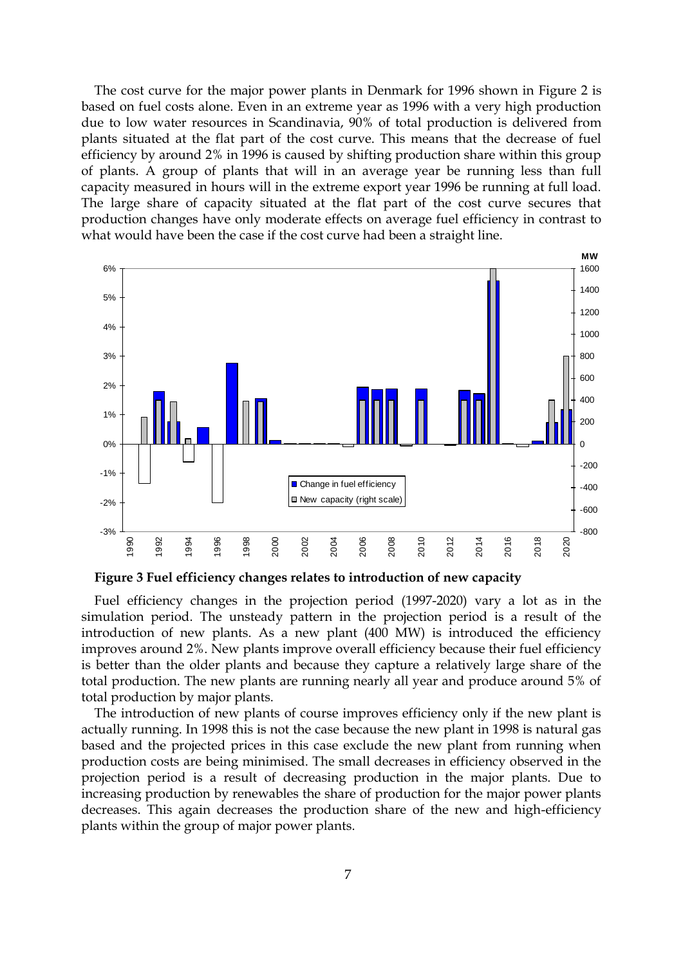The cost curve for the major power plants in Denmark for 1996 shown in Figure 2 is based on fuel costs alone. Even in an extreme year as 1996 with a very high production due to low water resources in Scandinavia, 90% of total production is delivered from plants situated at the flat part of the cost curve. This means that the decrease of fuel efficiency by around 2% in 1996 is caused by shifting production share within this group of plants. A group of plants that will in an average year be running less than full capacity measured in hours will in the extreme export year 1996 be running at full load. The large share of capacity situated at the flat part of the cost curve secures that production changes have only moderate effects on average fuel efficiency in contrast to what would have been the case if the cost curve had been a straight line. what would have been the case if the cost curve had been a straight line.



**Figure 3 Fuel efficiency changes relates to introduction of new capacity**

Fuel efficiency changes in the projection period (1997-2020) vary a lot as in the simulation period. The unsteady pattern in the projection period is a result of the introduction of new plants. As a new plant (400 MW) is introduced the efficiency improves around 2%. New plants improve overall efficiency because their fuel efficiency is better than the older plants and because they capture a relatively large share of the total production. The new plants are running nearly all year and produce around 5% of total production by major plants.

The introduction of new plants of course improves efficiency only if the new plant is actually running. In 1998 this is not the case because the new plant in 1998 is natural gas based and the projected prices in this case exclude the new plant from running when production costs are being minimised. The small decreases in efficiency observed in the projection period is a result of decreasing production in the major plants. Due to increasing production by renewables the share of production for the major power plants decreases. This again decreases the production share of the new and high-efficiency plants within the group of major power plants.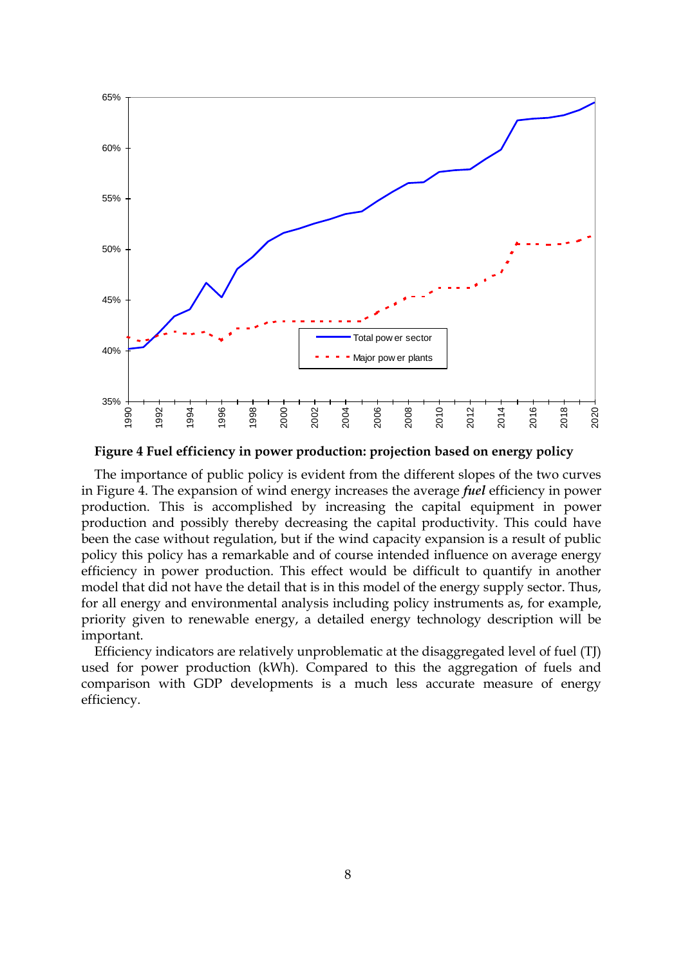

**Figure 4 Fuel efficiency in power production: projection based on energy policy**

The importance of public policy is evident from the different slopes of the two curves in Figure 4. The expansion of wind energy increases the average *fuel* efficiency in power production. This is accomplished by increasing the capital equipment in power production and possibly thereby decreasing the capital productivity. This could have been the case without regulation, but if the wind capacity expansion is a result of public policy this policy has a remarkable and of course intended influence on average energy efficiency in power production. This effect would be difficult to quantify in another model that did not have the detail that is in this model of the energy supply sector. Thus, for all energy and environmental analysis including policy instruments as, for example, priority given to renewable energy, a detailed energy technology description will be important.

Efficiency indicators are relatively unproblematic at the disaggregated level of fuel (TJ) used for power production (kWh). Compared to this the aggregation of fuels and comparison with GDP developments is a much less accurate measure of energy efficiency.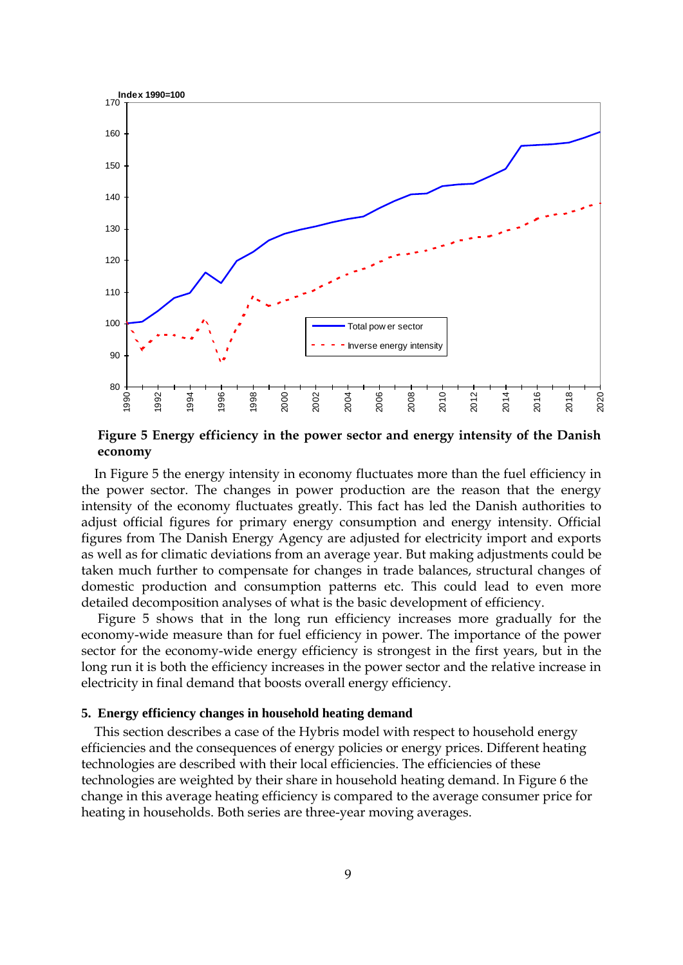

**Figure 5 Energy efficiency in the power sector and energy intensity of the Danish economy** 

In Figure 5 the energy intensity in economy fluctuates more than the fuel efficiency in the power sector. The changes in power production are the reason that the energy intensity of the economy fluctuates greatly. This fact has led the Danish authorities to adjust official figures for primary energy consumption and energy intensity. Official figures from The Danish Energy Agency are adjusted for electricity import and exports as well as for climatic deviations from an average year. But making adjustments could be taken much further to compensate for changes in trade balances, structural changes of domestic production and consumption patterns etc. This could lead to even more detailed decomposition analyses of what is the basic development of efficiency.

Figure 5 shows that in the long run efficiency increases more gradually for the economy-wide measure than for fuel efficiency in power. The importance of the power sector for the economy-wide energy efficiency is strongest in the first years, but in the long run it is both the efficiency increases in the power sector and the relative increase in electricity in final demand that boosts overall energy efficiency.

### **5. Energy efficiency changes in household heating demand**

This section describes a case of the Hybris model with respect to household energy efficiencies and the consequences of energy policies or energy prices. Different heating technologies are described with their local efficiencies. The efficiencies of these technologies are weighted by their share in household heating demand. In Figure 6 the change in this average heating efficiency is compared to the average consumer price for heating in households. Both series are three-year moving averages.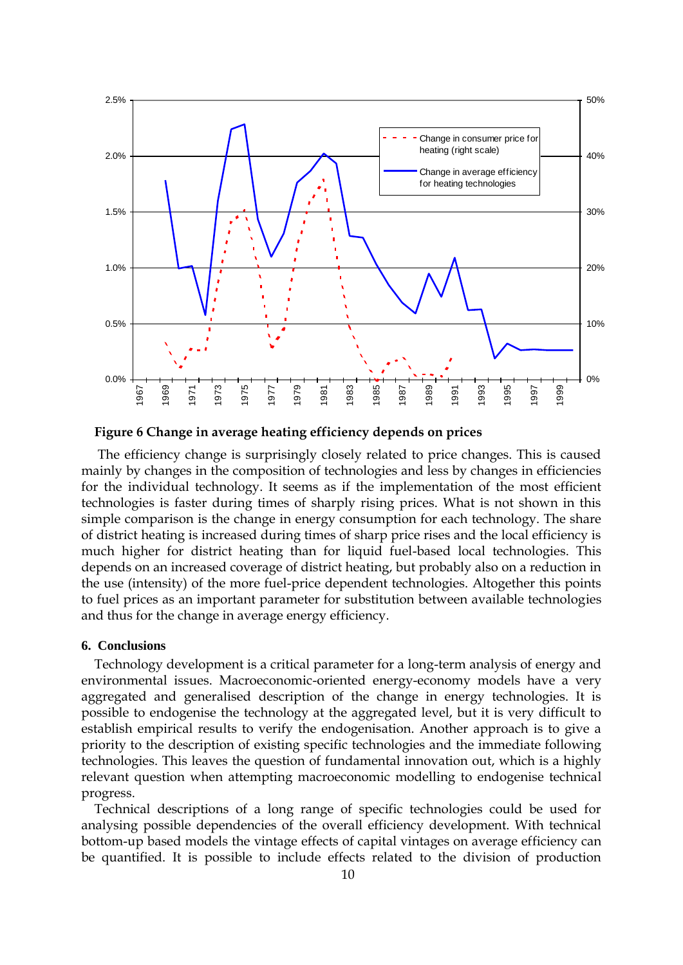

**Figure 6 Change in average heating efficiency depends on prices**

The efficiency change is surprisingly closely related to price changes. This is caused mainly by changes in the composition of technologies and less by changes in efficiencies for the individual technology. It seems as if the implementation of the most efficient technologies is faster during times of sharply rising prices. What is not shown in this simple comparison is the change in energy consumption for each technology. The share of district heating is increased during times of sharp price rises and the local efficiency is much higher for district heating than for liquid fuel-based local technologies. This depends on an increased coverage of district heating, but probably also on a reduction in the use (intensity) of the more fuel-price dependent technologies. Altogether this points to fuel prices as an important parameter for substitution between available technologies and thus for the change in average energy efficiency.

#### **6. Conclusions**

Technology development is a critical parameter for a long-term analysis of energy and environmental issues. Macroeconomic-oriented energy-economy models have a very aggregated and generalised description of the change in energy technologies. It is possible to endogenise the technology at the aggregated level, but it is very difficult to establish empirical results to verify the endogenisation. Another approach is to give a priority to the description of existing specific technologies and the immediate following technologies. This leaves the question of fundamental innovation out, which is a highly relevant question when attempting macroeconomic modelling to endogenise technical progress.

Technical descriptions of a long range of specific technologies could be used for analysing possible dependencies of the overall efficiency development. With technical bottom-up based models the vintage effects of capital vintages on average efficiency can be quantified. It is possible to include effects related to the division of production